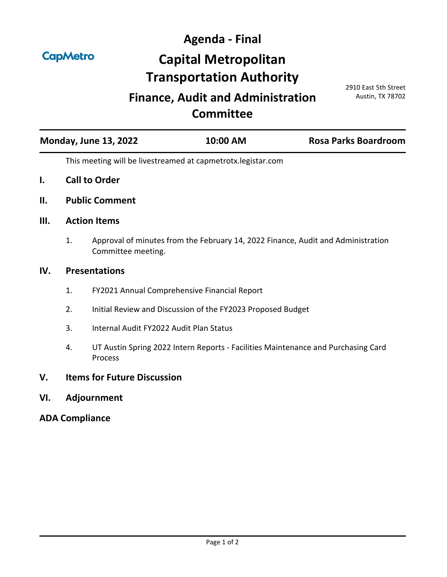**CapMetro** 

**Agenda - Final Capital Metropolitan Transportation Authority**

## **Finance, Audit and Administration Committee**

2910 East 5th Street Austin, TX 78702

| <b>Monday, June 13, 2022</b> | 10:00 AM | <b>Rosa Parks Boardroom</b> |
|------------------------------|----------|-----------------------------|
|------------------------------|----------|-----------------------------|

This meeting will be livestreamed at capmetrotx.legistar.com

- **I. Call to Order**
- **II. Public Comment**
- **III. Action Items**
	- 1. [Approval of minutes from the February 14, 2022 Finance, Audit and Administration](http://capmetrotx.legistar.com/gateway.aspx?m=l&id=/matter.aspx?key=1497)  Committee meeting.

## **IV. Presentations**

- 1. [FY2021 Annual Comprehensive Financial Report](http://capmetrotx.legistar.com/gateway.aspx?m=l&id=/matter.aspx?key=1533)
- 2. [Initial Review and Discussion of the FY2023 Proposed Budget](http://capmetrotx.legistar.com/gateway.aspx?m=l&id=/matter.aspx?key=1564)
- 3. [Internal Audit FY2022 Audit Plan Status](http://capmetrotx.legistar.com/gateway.aspx?m=l&id=/matter.aspx?key=1425)
- 4. [UT Austin Spring 2022 Intern Reports Facilities Maintenance and Purchasing Card](http://capmetrotx.legistar.com/gateway.aspx?m=l&id=/matter.aspx?key=1569)  Process
- **V. Items for Future Discussion**
- **VI. Adjournment**

## **ADA Compliance**